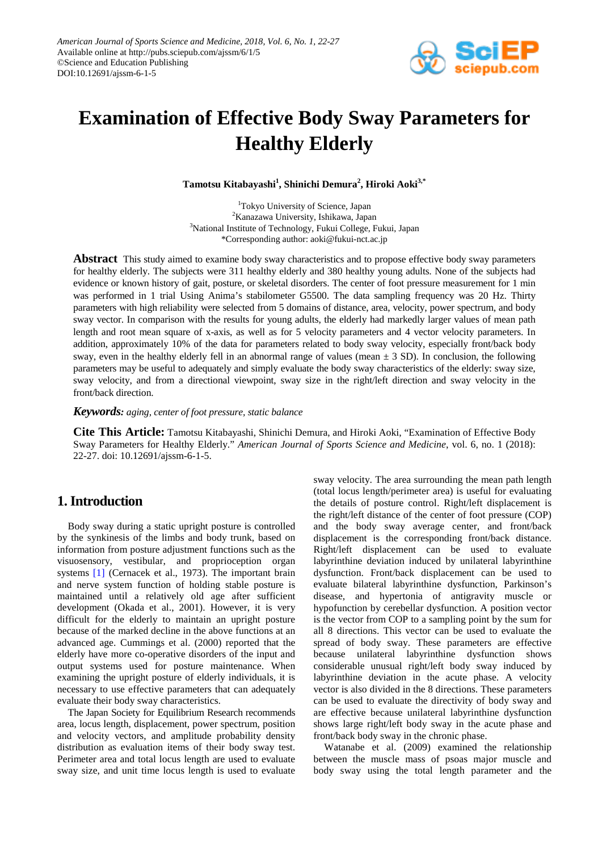

# **Examination of Effective Body Sway Parameters for Healthy Elderly**

**Tamotsu Kitabayashi1 , Shinichi Demura<sup>2</sup> , Hiroki Aoki3,\***

1 Tokyo University of Science, Japan <sup>2</sup>Kanazawa University, Ishikawa, Japan <sup>3</sup>National Institute of Technology, Fukui College, Fukui, Japan \*Corresponding author: aoki@fukui-nct.ac.jp

**Abstract** This study aimed to examine body sway characteristics and to propose effective body sway parameters for healthy elderly. The subjects were 311 healthy elderly and 380 healthy young adults. None of the subjects had evidence or known history of gait, posture, or skeletal disorders. The center of foot pressure measurement for 1 min was performed in 1 trial Using Anima's stabilometer G5500. The data sampling frequency was 20 Hz. Thirty parameters with high reliability were selected from 5 domains of distance, area, velocity, power spectrum, and body sway vector. In comparison with the results for young adults, the elderly had markedly larger values of mean path length and root mean square of x-axis, as well as for 5 velocity parameters and 4 vector velocity parameters. In addition, approximately 10% of the data for parameters related to body sway velocity, especially front/back body sway, even in the healthy elderly fell in an abnormal range of values (mean  $\pm$  3 SD). In conclusion, the following parameters may be useful to adequately and simply evaluate the body sway characteristics of the elderly: sway size, sway velocity, and from a directional viewpoint, sway size in the right/left direction and sway velocity in the front/back direction.

*Keywords: aging, center of foot pressure, static balance*

**Cite This Article:** Tamotsu Kitabayashi, Shinichi Demura, and Hiroki Aoki, "Examination of Effective Body Sway Parameters for Healthy Elderly." *American Journal of Sports Science and Medicine*, vol. 6, no. 1 (2018): 22-27. doi: 10.12691/ajssm-6-1-5.

## **1. Introduction**

Body sway during a static upright posture is controlled by the synkinesis of the limbs and body trunk, based on information from posture adjustment functions such as the visuosensory, vestibular, and proprioception organ systems [\[1\]](#page-4-0) (Cernacek et al., 1973). The important brain and nerve system function of holding stable posture is maintained until a relatively old age after sufficient development (Okada et al., 2001). However, it is very difficult for the elderly to maintain an upright posture because of the marked decline in the above functions at an advanced age. Cummings et al. (2000) reported that the elderly have more co-operative disorders of the input and output systems used for posture maintenance. When examining the upright posture of elderly individuals, it is necessary to use effective parameters that can adequately evaluate their body sway characteristics.

The Japan Society for Equilibrium Research recommends area, locus length, displacement, power spectrum, position and velocity vectors, and amplitude probability density distribution as evaluation items of their body sway test. Perimeter area and total locus length are used to evaluate sway size, and unit time locus length is used to evaluate

sway velocity. The area surrounding the mean path length (total locus length/perimeter area) is useful for evaluating the details of posture control. Right/left displacement is the right/left distance of the center of foot pressure (COP) and the body sway average center, and front/back displacement is the corresponding front/back distance. Right/left displacement can be used to evaluate labyrinthine deviation induced by unilateral labyrinthine dysfunction. Front/back displacement can be used to evaluate bilateral labyrinthine dysfunction, Parkinson's disease, and hypertonia of antigravity muscle or hypofunction by cerebellar dysfunction. A position vector is the vector from COP to a sampling point by the sum for all 8 directions. This vector can be used to evaluate the spread of body sway. These parameters are effective because unilateral labyrinthine dysfunction shows considerable unusual right/left body sway induced by labyrinthine deviation in the acute phase. A velocity vector is also divided in the 8 directions. These parameters can be used to evaluate the directivity of body sway and are effective because unilateral labyrinthine dysfunction shows large right/left body sway in the acute phase and front/back body sway in the chronic phase.

Watanabe et al. (2009) examined the relationship between the muscle mass of psoas major muscle and body sway using the total length parameter and the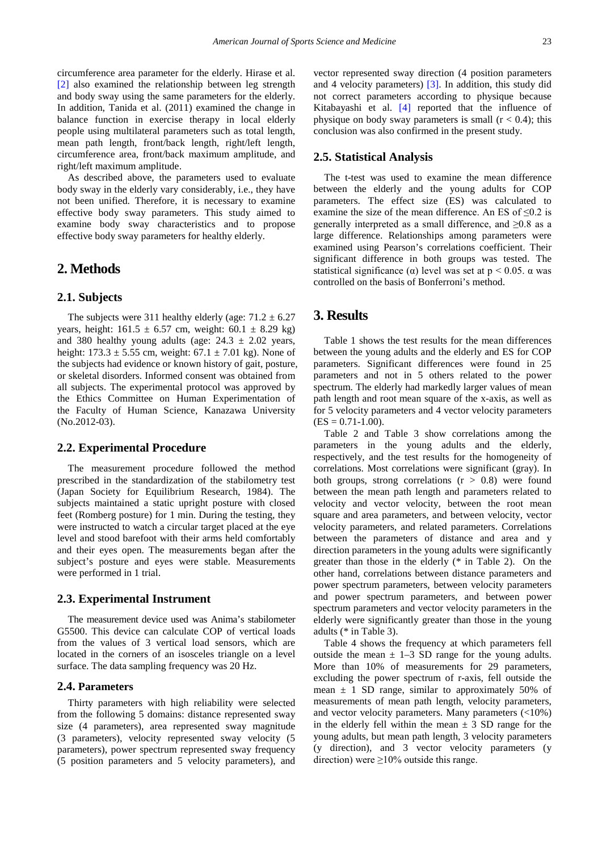circumference area parameter for the elderly. Hirase et al. [\[2\]](#page-4-1) also examined the relationship between leg strength and body sway using the same parameters for the elderly. In addition, Tanida et al. (2011) examined the change in balance function in exercise therapy in local elderly people using multilateral parameters such as total length, mean path length, front/back length, right/left length, circumference area, front/back maximum amplitude, and right/left maximum amplitude.

As described above, the parameters used to evaluate body sway in the elderly vary considerably, i.e., they have not been unified. Therefore, it is necessary to examine effective body sway parameters. This study aimed to examine body sway characteristics and to propose effective body sway parameters for healthy elderly.

## **2. Methods**

#### **2.1. Subjects**

The subjects were 311 healthy elderly (age:  $71.2 \pm 6.27$ ) years, height:  $161.5 \pm 6.57$  cm, weight:  $60.1 \pm 8.29$  kg) and 380 healthy young adults (age:  $24.3 \pm 2.02$  years, height:  $173.3 \pm 5.55$  cm, weight:  $67.1 \pm 7.01$  kg). None of the subjects had evidence or known history of gait, posture, or skeletal disorders. Informed consent was obtained from all subjects. The experimental protocol was approved by the Ethics Committee on Human Experimentation of the Faculty of Human Science, Kanazawa University (No.2012-03).

#### **2.2. Experimental Procedure**

The measurement procedure followed the method prescribed in the standardization of the stabilometry test (Japan Society for Equilibrium Research, 1984). The subjects maintained a static upright posture with closed feet (Romberg posture) for 1 min. During the testing, they were instructed to watch a circular target placed at the eye level and stood barefoot with their arms held comfortably and their eyes open. The measurements began after the subject's posture and eyes were stable. Measurements were performed in 1 trial.

#### **2.3. Experimental Instrument**

The measurement device used was Anima's stabilometer G5500. This device can calculate COP of vertical loads from the values of 3 vertical load sensors, which are located in the corners of an isosceles triangle on a level surface. The data sampling frequency was 20 Hz.

#### **2.4. Parameters**

Thirty parameters with high reliability were selected from the following 5 domains: distance represented sway size (4 parameters), area represented sway magnitude (3 parameters), velocity represented sway velocity (5 parameters), power spectrum represented sway frequency (5 position parameters and 5 velocity parameters), and vector represented sway direction (4 position parameters and 4 velocity parameters) [\[3\].](#page-4-2) In addition, this study did not correct parameters according to physique because Kitabayashi et al. [\[4\]](#page-4-3) reported that the influence of physique on body sway parameters is small  $(r < 0.4)$ ; this conclusion was also confirmed in the present study.

#### **2.5. Statistical Analysis**

The t-test was used to examine the mean difference between the elderly and the young adults for COP parameters. The effect size (ES) was calculated to examine the size of the mean difference. An ES of ≤0.2 is generally interpreted as a small difference, and  $\geq 0.8$  as a large difference. Relationships among parameters were examined using Pearson's correlations coefficient. Their significant difference in both groups was tested. The statistical significance ( $\alpha$ ) level was set at p < 0.05.  $\alpha$  was controlled on the basis of Bonferroni's method.

### **3. Results**

Table 1 shows the test results for the mean differences between the young adults and the elderly and ES for COP parameters. Significant differences were found in 25 parameters and not in 5 others related to the power spectrum. The elderly had markedly larger values of mean path length and root mean square of the x-axis, as well as for 5 velocity parameters and 4 vector velocity parameters  $(ES = 0.71 - 1.00).$ 

Table 2 and Table 3 show correlations among the parameters in the young adults and the elderly, respectively, and the test results for the homogeneity of correlations. Most correlations were significant (gray). In both groups, strong correlations  $(r > 0.8)$  were found between the mean path length and parameters related to velocity and vector velocity, between the root mean square and area parameters, and between velocity, vector velocity parameters, and related parameters. Correlations between the parameters of distance and area and y direction parameters in the young adults were significantly greater than those in the elderly (\* in Table 2). On the other hand, correlations between distance parameters and power spectrum parameters, between velocity parameters and power spectrum parameters, and between power spectrum parameters and vector velocity parameters in the elderly were significantly greater than those in the young adults (\* in Table 3).

Table 4 shows the frequency at which parameters fell outside the mean  $\pm$  1–3 SD range for the young adults. More than 10% of measurements for 29 parameters, excluding the power spectrum of r-axis, fell outside the mean  $\pm$  1 SD range, similar to approximately 50% of measurements of mean path length, velocity parameters, and vector velocity parameters. Many parameters (<10%) in the elderly fell within the mean  $\pm$  3 SD range for the young adults, but mean path length, 3 velocity parameters (y direction), and 3 vector velocity parameters (y direction) were  $\geq$ 10% outside this range.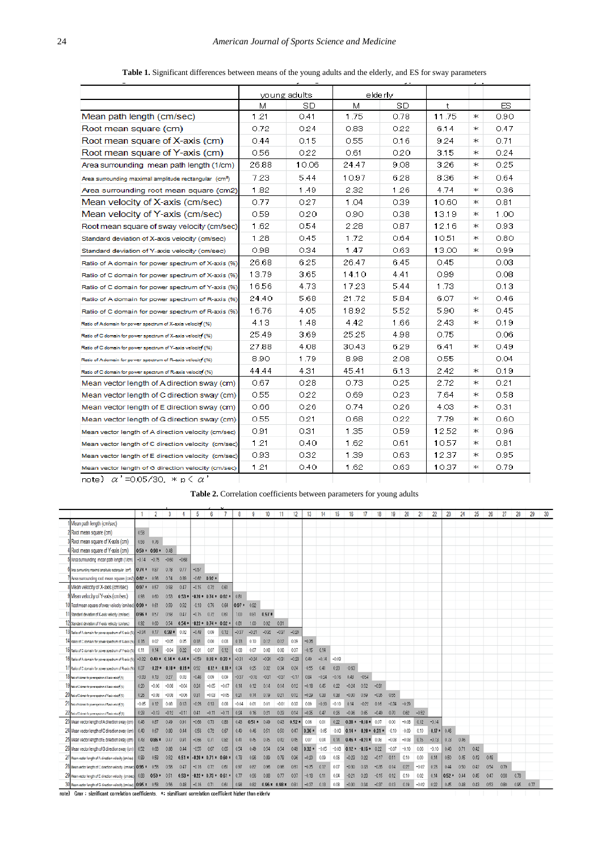|                                                                   |       | young adults |       | elderly |       |   |      |
|-------------------------------------------------------------------|-------|--------------|-------|---------|-------|---|------|
|                                                                   | м     | SD           | м     | SD      | t     |   | ES.  |
| Mean path length (cm/sec)                                         | 1.21  | 0.41         | 1.75  | 0.78    | 11.75 | Ж | 0.90 |
| Root mean square (cm)                                             | 0.72  | 0.24         | 0.83  | 0.22    | 6.14  | ж | 0.47 |
| Root mean square of X-axis (cm)                                   | 0.44  | 0.15         | 0.55  | 0.16    | 9.24  | ж | 0.71 |
| Root mean square of Y-axis (cm)                                   | 0.56  | 0.22         | 0.61  | 0.20    | 3.15  | ж | 0.24 |
| Area surrounding mean path length (1/cm)                          | 26.88 | 10.06        | 24.47 | 9.08    | 3.26  | Ж | 0.25 |
| Area surrounding maximal amplitude rectangular (cm <sup>2</sup> ) | 7.23  | 5.44         | 10.97 | 6.28    | 8.36  | ж | 0.64 |
| Area surrounding root mean square (cm2)                           | 1.82  | 1.49         | 2.32  | 1.26    | 4.74  | ж | 0.36 |
| Mean velocity of X-axis (cm/sec)                                  | 0.77  | 0.27         | 1.04  | 0.39    | 10.60 | ж | 0.81 |
| Mean velocity of Y-axis (cm/sec)                                  | 0.59  | 0.20         | 0.90  | 0.38    | 13.19 | ж | 1.00 |
| Root mean square of sway velocity (cm/sec)                        | 1.62  | 0.54         | 2.28  | 0.87    | 12.16 | ж | 0.93 |
| Standard deviation of X-axis velocity (cm/sec)                    | 1.28  | 0.45         | 1.72  | 0.64    | 10.51 | ж | 0.80 |
| Standard deviation of Y-axis velocity (cm/sec)                    | 0.98  | 0.34         | 1.47  | 0.63    | 13.00 | ж | 0.99 |
| Ratio of A domain for power spectrum of X-axis (%)                | 26.68 | 6.25         | 26.47 | 6.45    | 0.45  |   | 0.03 |
| Ratio of C domain for power spectrum of X-axis (%)                | 13.79 | 3.65         | 14.10 | 4.41    | 0.99  |   | 0.08 |
| Ratio of C domain for power spectrum of Y-axis (%)                | 16.56 | 4.73         | 17.23 | 5.44    | 1.73  |   | 0.13 |
| Ratio of A domain for power spectrum of R-axis (%)                | 24.40 | 5.68         | 21.72 | 5.84    | 6.07  | ж | 0.46 |
| Ratio of C domain for power spectrum of R-axis (%)                | 16.76 | 4.05         | 18.92 | 5.52    | 5.90  | ж | 0.45 |
| Ratio of Adomain for power spectrum of X-axis velocity (%)        | 4.13  | 1.48         | 4.42  | 1.66    | 2.43  | ж | 0.19 |
| Ratio of C domain for power spectrum of X-axis velocity (%)       | 25.49 | 3.69         | 25.25 | 4.98    | 0.75  |   | 0.06 |
| Ratio of C domain for power spectrum of Y-axis velocity (%)       | 27.88 | 4.08         | 30.43 | 6.29    | 6.41  | ж | 0.49 |
| Ratio of Adomain for power spectrum of R-axis velocity (%)        | 8.90  | 1.79         | 8.98  | 2.08    | 0.55  |   | 0.04 |
| Ratio of C domain for power spectrum of R-axis velocity (%)       | 44.44 | 4.31         | 45.41 | 6.13    | 2.42  | ж | 0.19 |
| Mean vector length of A direction sway (cm)                       | 0.67  | 0.28         | 0.73  | 0.25    | 2.72  | ж | 0.21 |
| Mean vector length of C direction sway (cm)                       | 0.55  | 0.22         | 0.69  | 0.23    | 7.64  | ж | 0.58 |
| Mean vector length of E direction sway (cm)                       | 0.66  | 0.26         | 0.74  | 0.26    | 4.03  | ж | 0.31 |
| Mean vector length of G direction sway (cm)                       | 0.55  | 0.21         | 0.68  | 0.22    | 7.79  | ж | 0.60 |
| Mean vector length of A direction velocity (cm/sec)               | 0.91  | 0.31         | 1.35  | 0.59    | 12.52 | ж | 0.96 |
| Mean vector length of C direction velocity (cm/sec)               | 1.21  | 0.40         | 1.62  | 0.61    | 10.57 | ж | 0.81 |
| Mean vector length of E direction velocity (cm/sec)               | 0.93  | 0.32         | 1.39  | 0.63    | 12.37 | ж | 0.95 |
| Mean vector length of G direction velocity (cm/sec)               | 1.21  | 0.40         | 1.62  | 0.63    | 10.37 | ж | 0.79 |
| note) $\alpha' = 0.05/30$ . * p $\langle \alpha' \rangle$         |       |              |       |         |       |   |      |

**Table 1.** Significant differences between means of the young adults and the elderly, and ES for sway parameters

**Table 2.** Correlation coefficients between parameters for young adults

|                                                                                                              |               | 2                    | 3        |          | 5       | 6                |         | 8       | 9       | 10           |                      | 12      | 13      | 14      | 15      | 16                    | 17           | 18      | 19      | 20      | 21      | 22              | 23      | 24   | 25   | 26   | 27   | 28   | 29   | 30 |
|--------------------------------------------------------------------------------------------------------------|---------------|----------------------|----------|----------|---------|------------------|---------|---------|---------|--------------|----------------------|---------|---------|---------|---------|-----------------------|--------------|---------|---------|---------|---------|-----------------|---------|------|------|------|------|------|------|----|
| Mean path length (cm/sec)                                                                                    |               |                      |          |          |         |                  |         |         |         |              |                      |         |         |         |         |                       |              |         |         |         |         |                 |         |      |      |      |      |      |      |    |
| 2 Root mean square (cm)                                                                                      | 0.58          |                      |          |          |         |                  |         |         |         |              |                      |         |         |         |         |                       |              |         |         |         |         |                 |         |      |      |      |      |      |      |    |
|                                                                                                              |               |                      |          |          |         |                  |         |         |         |              |                      |         |         |         |         |                       |              |         |         |         |         |                 |         |      |      |      |      |      |      |    |
| Root mean square of X-axis (cm)                                                                              | 0.56          | 0.76                 |          |          |         |                  |         |         |         |              |                      |         |         |         |         |                       |              |         |         |         |         |                 |         |      |      |      |      |      |      |    |
| Root mean square of Y-axis (cm)                                                                              |               | $0.50 * 0.93 * 0.48$ |          |          |         |                  |         |         |         |              |                      |         |         |         |         |                       |              |         |         |         |         |                 |         |      |      |      |      |      |      |    |
| 5 Area surrounding mean path length (1/cm)                                                                   |               | $-0.14 -0.75$        | $-0.60$  | $-0.68$  |         |                  |         |         |         |              |                      |         |         |         |         |                       |              |         |         |         |         |                 |         |      |      |      |      |      |      |    |
| 6 /vea surrounding maximal amplitude rectangular (cm2)                                                       | $0.74*0.87$   |                      | 0.78     | 0.77     | $-0.57$ |                  |         |         |         |              |                      |         |         |         |         |                       |              |         |         |         |         |                 |         |      |      |      |      |      |      |    |
| Area surrounding root mean square (cm2) 0 62 * 0.96                                                          |               |                      | 0.74     | 0.89     | $-0.62$ | $0.92*$          |         |         |         |              |                      |         |         |         |         |                       |              |         |         |         |         |                 |         |      |      |      |      |      |      |    |
| 8 Mean velocity of X-axis (cm/sec)                                                                           | $0.97 * 0.57$ |                      | 0.58     | 0.47     | $-0.15$ | 0.72             | 0.61    |         |         |              |                      |         |         |         |         |                       |              |         |         |         |         |                 |         |      |      |      |      |      |      |    |
| 9 Mean velocity of Y-axis (cm/sec)                                                                           | 0.93          | 060                  | 0.53     | $0.53*$  |         | $-0.20 * 0.74 *$ | $0.62*$ | 0.81    |         |              |                      |         |         |         |         |                       |              |         |         |         |         |                 |         |      |      |      |      |      |      |    |
| O Root mean square of sway velocity (cm/sec) 0.99 *                                                          |               | 0.61                 | 0.59     | 0.52     | 0.18    | 0.76             | 0.64    | $0.97*$ | 0.92    |              |                      |         |         |         |         |                       |              |         |         |         |         |                 |         |      |      |      |      |      |      |    |
| 1 Standard deviation of X-axis velocity (om/sec)                                                             | $0.96*$       | 057                  | 0.58     | 0.47     | $-0.15$ | 0.72             | 0.61    | 1.00    | 0.81    | $0.97*$      |                      |         |         |         |         |                       |              |         |         |         |         |                 |         |      |      |      |      |      |      |    |
| 2 Standard deviation of Y-axis velocity (cm/sec)                                                             | 0.92          | 0.60                 | 0.54     | $0.54*$  |         | $-0.22 * 0.74 *$ | 0.62    | 0.81    | 1.00    | 0.92         | 0.81                 |         |         |         |         |                       |              |         |         |         |         |                 |         |      |      |      |      |      |      |    |
| 3 Ratio of A domain for power spectrum of X-axis (%)                                                         | $-0.34$       | 0.17                 | $0.38*$  | 0.02     | $-0.48$ | 0.09             | 0.12    | $-0.37$ | $-0.21$ | $-0.32$      | $-0.37$              | $-0.20$ |         |         |         |                       |              |         |         |         |         |                 |         |      |      |      |      |      |      |    |
| 4 Ratio of C domain for power spectrum of X-axis (%) 0.16                                                    |               | 0.02                 | $-0.05$  | 0.05     | 018     | 0.00             | 0.03    | 0.13    | 0.10    | 012          | 0.12                 | 0.09    | $-0.36$ |         |         |                       |              |         |         |         |         |                 |         |      |      |      |      |      |      |    |
| O Ratio of C domain for power spectrum of Y-axis (16)                                                        | 0.11          | 0.14                 | $-0.04$  | 0.22     | $-0.01$ | 0.07             | 0.12    | 0.08    | 0.07    | 0.08         | 0.08                 | 0.07    | $-0.15$ | 0.14    |         |                       |              |         |         |         |         |                 |         |      |      |      |      |      |      |    |
| 6 Ratio of A domain for power spectrum of R-axis (%)                                                         | $-0.32$       | $0.40*$              | $0.14*$  | $0.44*$  | $-0.59$ | $0.18*$          | $0.33*$ | $-0.31$ | $-0.24$ | $-0.30$      | $-0.31$              | $-0.23$ | 0.49    | $-0.14$ | $-0.03$ |                       |              |         |         |         |         |                 |         |      |      |      |      |      |      |    |
| 1/ Ratio of C domain for power spectrum of R-axis (%)                                                        | 0.37          | $0.22*$              | $-0.10*$ | $-0.19*$ | 0.52    | $0.12*$          | -0.10   | 0.34    | 0.25    | 0.32         | 0.34                 | 0.24    | $-0.55$ | 0.41    | 0.28    | $-0.63$               |              |         |         |         |         |                 |         |      |      |      |      |      |      |    |
| 8 Ratio of Adomain for power apactrum of X axis velocity (%)                                                 | $-0.33$       | 0.13                 | 027      | 0.03     | $-0.46$ | 0.09             | 0.09    | $-0.37$ | $-0.18$ | $-0.31$      | $-0.37$              | $-0.1$  | 0.84    | $-0.24$ | $-0.16$ | 0.48                  | $-054$       |         |         |         |         |                 |         |      |      |      |      |      |      |    |
| S rate of C comen for power spectrum of X-axis velocity (%)                                                  | 0.20          | $-0.06$              | $-0.08$  | $-0.04$  | 0.24    | $-0.05$          | $-0.07$ | 0.14    | 0.12    | 0.14         | 0.14                 | 0.12    | $-0.18$ | 0.45    | 022     | $-0.24$               | 0.52         | $-0.31$ |         |         |         |                 |         |      |      |      |      |      |      |    |
| 20 Relia of Citamein for power spectrum of Y-axis volacity (%)                                               | 0.26          | $-0.08$              | $-0.08$  | $-0.06$  | 031     | $-0.03$          | $-0.05$ | 021     | 0.14    | 0.19         | 0.21                 | 0.12    | $-0.29$ | 033     | 0.38    | $-0.30$               | 0.59         | $-0.35$ | 0.55    |         |         |                 |         |      |      |      |      |      |      |    |
| 21 Refer of Adomain for power spectrum of Russia velocity (%)                                                | $-0.05$       | 012                  | 0.08     | 0.13     | $-0.26$ | 013              | 008     | $-0.04$ | 0.01    | 0.01         | $-0.01$              | 003     | 008     | $-0.20$ | $-0.10$ | 014                   | $-0.22$      | 0.16    | $-0.34$ | $-0.29$ |         |                 |         |      |      |      |      |      |      |    |
| ZZ Reio of Citomen for power spectrum of Pleaks relaciof (N)                                                 | 0.28          | $-0.13$              | $-0.12$  | $-0.11$  | 0.41    | $-0.11$          | $-0.11$ | 0.24    | 0.16    | 0.21         | 0.23                 | 0.14    | $-0.35$ | 0.47    | 0.26    | $-0.36$               | 0.65         | $-0.49$ | 0.70    | 0.62    | $-0.52$ |                 |         |      |      |      |      |      |      |    |
| 23 Mean vector length of A direction sway (cm)                                                               | 0.46          | 0.87                 | 0.49     | 0.91     | $-0.66$ | 0.73             | 0.83    | 0.43    | $0.51*$ | 0.49         | 0.43                 | $0.52*$ | 0.06    | 0.01    | 0.22    | $0.38* -0.18* 0.07$   |              |         | 0.00    | $-0.08$ | 0.12    | $-0.14$         |         |      |      |      |      |      |      |    |
| 24 Mean vector length of C direction sway (cm)                                                               | 0.40          | 0.67                 | 0.00     | 0.44     | 0.56    | 0.72             | 0.67    | 0.49    | 0.46    | 0.51         | 0.50                 | 0.47    | $0.36*$ | $-0.05$ | $-0.03$ | $0.14*$               | $-0.20*$     | $0.31*$ | $-0.10$ | $-0.09$ | 0.10    | $0.17*$         | 0.46    |      |      |      |      |      |      |    |
| 25 Mean vector length of E direction sway (cm)                                                               | 0.43          | 0.86 *               | 0.47     | 0.91     | $-0.66$ | 0.71             | 0.82    | 0.41    | 0.45    | 0.45         | 0.42                 | 0.45    | 0.07    | 0.04    | 0.14    | $0.46*$               | $-0.21*0.08$ |         | $-0.08$ | $-0.08$ | 0.15    | $-0.13$         | 0.73    | 0.46 |      |      |      |      |      |    |
| 26 Mean vector length of G direction sway (cm)                                                               |               |                      |          |          | $-0.55$ | 0.67             | 0.65    | 0.54    |         |              | 0.54                 |         | $0.32*$ | $-0.05$ | $-0.03$ | $0.12 * -0.15 * 0.22$ |              |         | $-0.07$ | $-0.10$ | 0.06    |                 | 0.46    | 0.71 | 0.42 |      |      |      |      |    |
|                                                                                                              | 0.52          | 0.68                 | 0.88     | 0.44     |         |                  |         | 0.78    | 0.49    | 0.54<br>0.89 | 0.78                 | 0.49    | $-0.20$ | 0.09    | 0.06    | $-0.23$               | 0.22         | $-0.17$ | 0.11    | 0.10    | 0.00    | $-0.10$<br>0.14 | 0.50    | 0.45 | 0.43 | 0.48 |      |      |      |    |
| 27 Mean vector length of A direction velocity (cm/sec) 0.89                                                  |               | 0.58                 | 0.52     | $0.51*$  |         | $-0.20 * 0.71 *$ | $0.60*$ |         | 0.96    |              |                      | 0.96    |         |         |         |                       |              |         |         |         |         |                 |         |      |      |      |      |      |      |    |
| 28 Mean vector length of C direction velocity (cm/sec) 0.95 *                                                |               | 0.58                 | 0.58     | 047      | $-0.16$ | 072              | 0.61    | 0.97    | 0.82    | 0.96         | 0.98                 | 0.81    | $-0.35$ | 0.12    | 0.07    | $-0.30$               | 0.33         | $-0.35$ | 0.14    | 022     | $-0.02$ | 0.73            | 044     | 0.50 | 042  | 0.54 | 079  |      |      |    |
| 29 Mean vector length of E direction velocity (cm/sec) 0.88                                                  |               | $0.59*$              | 0.51     | $0.53*$  |         | $-0.22 * 0.73 *$ | 0.61    | 0.77    | 0.96    | 0.88         | 0.77                 | 0.97    | $-0.18$ | 0.11    | 0.04    | $-0.21$               | 0.23         | $-0.15$ | 0.12    | 0.10    | 0.02    | 0.14            | $0.52*$ | 0.44 | 0.45 | 0.47 | 0.93 | 0.78 |      |    |
| 30 Mean vector length of G direction velocity (cm/sec) 0.95 *                                                |               | 0.58                 | 0.56     | 0.48     | $-0.16$ | 0.71             | 0.61    | 0.98    | 0.82    |              | $0.96 * 0.98 * 0.81$ |         | $-0.37$ | 0.13    | 0.08    | $-0.30$               | 0.34         | $-0.37$ | 0.13    | 0.19    | $-0.02$ | 0.22            | 0.45    | 0.48 | 0.43 | 0.53 | 0.80 | 0.95 | 0.77 |    |
| note) Grav: significant correlation coefficients. *: significant correlation coefficient higher than elderly |               |                      |          |          |         |                  |         |         |         |              |                      |         |         |         |         |                       |              |         |         |         |         |                 |         |      |      |      |      |      |      |    |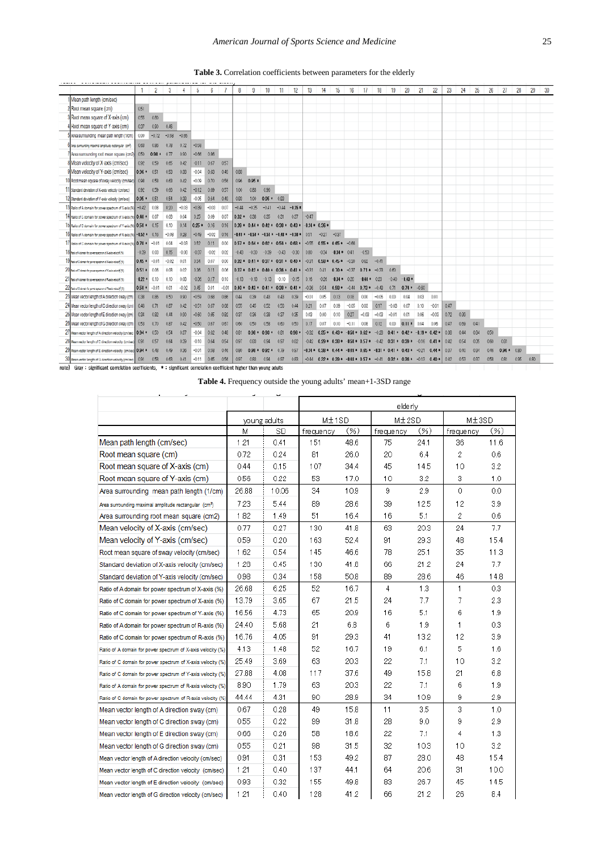| Table 3. Correlation coefficients between parameters for the elderly |  |  |  |
|----------------------------------------------------------------------|--|--|--|
|----------------------------------------------------------------------|--|--|--|

|                                                                                                                   |         | 2       | 3       | 4       | 5       | 6       |         | 8       | 9                                                 | 10              | 11                            | 12              | 13      | 14               | 15             | 16                                                      | 17        | 18      | 19      | 20                                                                          | 21               | 22      | 23   | 24   | 25   | 26   | 27      | 28   | 29   | 30 |
|-------------------------------------------------------------------------------------------------------------------|---------|---------|---------|---------|---------|---------|---------|---------|---------------------------------------------------|-----------------|-------------------------------|-----------------|---------|------------------|----------------|---------------------------------------------------------|-----------|---------|---------|-----------------------------------------------------------------------------|------------------|---------|------|------|------|------|---------|------|------|----|
| Mean path length (cm/sec)                                                                                         |         |         |         |         |         |         |         |         |                                                   |                 |                               |                 |         |                  |                |                                                         |           |         |         |                                                                             |                  |         |      |      |      |      |         |      |      |    |
| 2 Root mean square (cm)                                                                                           | 0.51    |         |         |         |         |         |         |         |                                                   |                 |                               |                 |         |                  |                |                                                         |           |         |         |                                                                             |                  |         |      |      |      |      |         |      |      |    |
| 3 Root mean square of X-axis (cm)                                                                                 | 0.55    | 080     |         |         |         |         |         |         |                                                   |                 |                               |                 |         |                  |                |                                                         |           |         |         |                                                                             |                  |         |      |      |      |      |         |      |      |    |
| 4 Root mean square of Y axis (cm)                                                                                 | 0.37    | 0.90    | 0.46    |         |         |         |         |         |                                                   |                 |                               |                 |         |                  |                |                                                         |           |         |         |                                                                             |                  |         |      |      |      |      |         |      |      |    |
| 5 Area surrounding mean path length (1/cm)                                                                        | 0.00    | $-0.72$ | $-0.58$ | $-0.65$ |         |         |         |         |                                                   |                 |                               |                 |         |                  |                |                                                         |           |         |         |                                                                             |                  |         |      |      |      |      |         |      |      |    |
| O Area surrounding maximal amplitude rectangular (cm2)                                                            | 0.63    | 0.96    | 0.78    | 0.72    | $-0.58$ |         |         |         |                                                   |                 |                               |                 |         |                  |                |                                                         |           |         |         |                                                                             |                  |         |      |      |      |      |         |      |      |    |
| / Area surrounding root mean square (cm2)                                                                         | 0.50    | 0.98 *  | 0.77    | 0.90    | $66 -$  | 0.86    |         |         |                                                   |                 |                               |                 |         |                  |                |                                                         |           |         |         |                                                                             |                  |         |      |      |      |      |         |      |      |    |
| 8 Mean velocity of X axis (cm/sec)                                                                                | 0.92    | 0.59    | 0.65    | 0.42    | 0.11    | 0.67    | 057     |         |                                                   |                 |                               |                 |         |                  |                |                                                         |           |         |         |                                                                             |                  |         |      |      |      |      |         |      |      |    |
| 9 Mean velocity of Y-axis (cm/sec)                                                                                | $0.96*$ | 0.51    | 0.53    | 0.38    | $-0.04$ | 0.63    | 0.49    | 0.83    |                                                   |                 |                               |                 |         |                  |                |                                                         |           |         |         |                                                                             |                  |         |      |      |      |      |         |      |      |    |
| I U Root mean square of sway velocity (cm/sec)                                                                    | 0.98    | 0.58    | 0.63    | 0.42    | $-0.09$ | 0.70    | 0.56    | 0.96    | $0.95*$                                           |                 |                               |                 |         |                  |                |                                                         |           |         |         |                                                                             |                  |         |      |      |      |      |         |      |      |    |
| 1 Standard deviation of X-axis velocity (cm/sec)                                                                  | 0.92    | 0.59    | 0.66    | 0.42    | $-0.12$ | 0.69    | 0.57    | 1.00    | 0.83                                              | 0.96            |                               |                 |         |                  |                |                                                         |           |         |         |                                                                             |                  |         |      |      |      |      |         |      |      |    |
| 2 Standard deviation of Y-axis velocity (emisee)                                                                  | $0.95*$ | 0.51    | 0.54    | 0.38    | $-0.05$ | 0.64    | 0.49    | 0.83    | 1.00                                              | $0.95 * 0.83$   |                               |                 |         |                  |                |                                                         |           |         |         |                                                                             |                  |         |      |      |      |      |         |      |      |    |
| 3 Ratio of A domain for power spectrum of X-axis (%)                                                              | $-0.42$ | 0.08    | 0.20    | $-0.03$ | $-0.39$ | $-0.03$ | 0.07    | $-0.44$ | $-0.35$                                           | $-0.41$         |                               | $-0.44 - 0.35*$ |         |                  |                |                                                         |           |         |         |                                                                             |                  |         |      |      |      |      |         |      |      |    |
| 4 Ratio of C domain for power spectrum of X-axis (%) 0.40 *                                                       |         | 0.07    | 0.08    | 0.04    | 0.25    | 0.09    | 0.07    | $0.32*$ | 0.38                                              | 0.35            | 0.31                          | 0.37            | $-0.47$ |                  |                |                                                         |           |         |         |                                                                             |                  |         |      |      |      |      |         |      |      |    |
| 15 Ratio of C domain for power spectrum of Y-axis (%) 0.50 * 0.15                                                 |         |         | 0.10    | 0.14    | $0.25*$ | 0.16    | 0.16    | $0.39*$ |                                                   |                 | $0.44 * 0.42 * 0.30 * 0.43 *$ |                 |         | $0.34 * 0.36 *$  |                |                                                         |           |         |         |                                                                             |                  |         |      |      |      |      |         |      |      |    |
| 16 Ratio of A domain for power spectrum of R axis (% - 0.52 * 0.16)                                               |         |         | $-0.08$ | 0.28    | $-0.49$ | $-0.02$ | 0.16    |         | $-0.49$ * $-0.50$ * $-0.51$ * $-0.48$ * $-0.50$ * |                 |                               |                 | 051     | $-0.27$          | $-0.37$        |                                                         |           |         |         |                                                                             |                  |         |      |      |      |      |         |      |      |    |
| 17 Ratio of C domain for power spectrum of R-axis (%) 0 70 * -0.01                                                |         |         | 0.04    | $-0.03$ | 0.52    | 0.11    | 0.00    | $0.57*$ |                                                   | $0.64 * 0.62 *$ | $0.56*$                       | $0.63*$         | $-0.55$ | $0.55*$          | $0.65 + -0.66$ |                                                         |           |         |         |                                                                             |                  |         |      |      |      |      |         |      |      |    |
| Of talo of Adorrain for power spectrum of X-axis velocity (%)                                                     | $-0.39$ | 0.00    | 0.15    | $-0.06$ | $-0.37$ | $-0.02$ | 0.02    | 0.43    | $-0.30$                                           | $-0.39$         | $-0.43$                       | $-0.30$         | 0.00    | $-0.34$          | -034           | 0.41                                                    | $-0.53$   |         |         |                                                                             |                  |         |      |      |      |      |         |      |      |    |
| 9 Patio of Citizmain for power apparture of X-axia volocity (%)                                                   | $0.45*$ | $-0.01$ | $-0.02$ | 0.01    | 0.34    | 0.07    | 0.00    |         | $0.32*0.41*0.37*0.31*0.40*$                       |                 |                               |                 | $-0.31$ | $0.58*$          | $0.45*$        | $-0.30$                                                 | 0.62      | $-0.41$ |         |                                                                             |                  |         |      |      |      |      |         |      |      |    |
| /U Ratio of Colorado for power spectrum of Yusis wide of (%)                                                      | $0.51*$ | 0.06    | 0.08    | 0.02    | 0.36    | 0.11    | 0.06    | $0.37*$ |                                                   |                 | $0.42 * 0.40 * 0.36 *$        | $041*$          | $-0.31$ | 041              | $0.70*$        | $-0.37$                                                 | $0.71*$   | $-0.33$ | 060     |                                                                             |                  |         |      |      |      |      |         |      |      |    |
| Z1 Rato of Adomain for power spectrum of Russia velocity (%)                                                      | $0.22*$ | 0.10    | 0.10    | 0.08    | 0.36    | 0.17    | 0.10    | $-0.13$ | $-0.18$                                           | $-0.13$         | $-0.10$                       | $-0.15$         | 0.16    | $-0.26$          | $0.31*$        | 0.28                                                    | $0.40*$   | 0.23    | $-0.40$ | $-0.43*$                                                                    |                  |         |      |      |      |      |         |      |      |    |
| 22 Pato of Citomain for yourer spectrum of Russia velocity (N)                                                    | $0.50*$ | $-0.01$ | 0.01    | -0.02   | 0.45    | 0.01    | $-0.01$ | $0.40*$ |                                                   | $0.43 * 0.41 *$ | $0.38*$                       | $0.41*$         | $-0.36$ | 0.54             | $0.58*$        | $-0.44$                                                 | $0.73*$   | $-0.48$ | 0.71    | $0.74 * -0.60$                                                              |                  |         |      |      |      |      |         |      |      |    |
| 23 Mean vector length of A direction sway (cm                                                                     | 0.38    | 0.86    | 0.50    | 0.90    | $-0.59$ | 0.68    | 0.86    | 0.44    | 0.39                                              | 0.43            | 0.43                          | 0.39            | $-0.01$ | 0.05             | 0.13           | 0.18                                                    | 0.00      | $-0.06$ | 0.00    | 0.04                                                                        | 0.03             | 0.01    |      |      |      |      |         |      |      |    |
| 24 Mean vector length of C direction sway (cm)                                                                    | 0.46    | 0.71    | 0.87    | 0.42    | $-0.51$ | 0.67    | 0.68    | 0.55    | 0.45                                              | 0.52            | 0.56                          | 0.44            | 0.21    | 0.07             | 0.09           | $-0.05$                                                 | 0.03      | 0.17    | $-0.03$ | 0.07                                                                        | 0.10             | $-0.01$ | 0.47 |      |      |      |         |      |      |    |
| 25 Mean vector length of E direction sway (cm)                                                                    | 0.34    | 0.82    | 0.44    | 0.90    | $-0.60$ | 0.65    | 0.82    | 0.37    | 0.36                                              | 0.38            | 0.37                          | 0.35            | 0.03    | 0.00             | 0.10           | 0.27                                                    | $-0.03$   | $-0.03$ | $-0.01$ | 0.01                                                                        | 0.06             | $-0.08$ | 0.72 | 0.39 |      |      |         |      |      |    |
| 26 Mean vector length of G direction sway (cm)                                                                    | 0.53    | 0.70    | 0.87    | 0.42    | $-0.50$ | 0.67    | 0.67    | 0.60    | 0.50                                              | 0.58            | 0.60                          | 0.50            | 0.17    | 0.07             | 0.10           | $-0.11$                                                 | 0.08      | 0.12    | 0.00    | $0.11*$                                                                     | 0.04             | 0.06    | 0.47 | 0.69 | 0.41 |      |         |      |      |    |
| 27 Mean vector length of A direction velocity (cm/sec) 0.94 *                                                     |         | 0.50    | 0.54    | 0.37    | $-0.04$ | 0.62    | 0.48    | 0.81    | $0.98*$                                           | $0.93*$         | 0.81                          | $0.98*$         | $-0.32$ | $0.35*$          | $0.43*$        | $-0.50 * 0.62 *$                                        |           | $-0.28$ |         | $0.41 * 0.42 *$                                                             | $-0.19 * 0.42 *$ |         | 0.38 | 0.44 | 0.34 | 0.50 |         |      |      |    |
| Zo Mean vector length of C direction velocity (cm/sec) 0.91                                                       |         | 0.57    | 0.64    | 0.39    | $-0.10$ | 0.64    | 0.54    | 0.97    | 0.03                                              | 0.94            | 0.97                          | 0.02            | $-0.42$ | $0.29*$          | $0.30*$        | $-0.50$                                                 | $* 0.57*$ | $-0.42$ | $0.31*$ | $0.39*$                                                                     | $-0.16$          | 0.41    | 0.42 | 0.54 | 0.35 | 0.60 | 0.01    |      |      |    |
| 29 Mean vector length of E direction velocity (cm/sec) 0.94 *                                                     |         | 0.48    | 0.49    | 0.35    | $-0.01$ | 0.58    | 0.46    | 0.90    | $0.98*$                                           | $0.92*$         | 0.79                          | 097             |         | $-0.31 * 0.38 *$ |                | $0.44$ * $-0.49$ * $0.65$ * $-0.31$ * $0.41$ * $0.43$ * |           |         |         |                                                                             | $-0.21$          | 0.44    | 037  | 0.40 | 0.34 | 0.46 | $0.96*$ | 0.90 |      |    |
| 3U Mean vector length of G direction velocity (cm/sec)                                                            | 0.91    | 0.58    | 063     | 041     | $-0.11$ | 0.65    | 0.56    | 0.97    | 0.83                                              | 094             | 0.97                          | 0.83            |         |                  |                |                                                         |           |         |         | $-0.44$ 0.32 * 0.39 * $-0.48$ * 0.57 * $-0.41$ 0.32 * 0.36 * $-0.13$ 0.40 * |                  |         | 042  | 0.53 | 037  | 0.58 | 081     | 095  | 0.80 |    |
| note) Gray: significant correlation coefficients, *: significant correlation coefficient higher than young adults |         |         |         |         |         |         |         |         |                                                   |                 |                               |                 |         |                  |                |                                                         |           |         |         |                                                                             |                  |         |      |      |      |      |         |      |      |    |

**Table 4.** Frequency outside the young adults' mean+1-3SD range

|                                                                   |       |              | elderly   |         |           |      |              |         |  |  |  |  |  |  |
|-------------------------------------------------------------------|-------|--------------|-----------|---------|-----------|------|--------------|---------|--|--|--|--|--|--|
|                                                                   |       | young adults | M±1SD     |         | M±2SD     |      | M±3SD        |         |  |  |  |  |  |  |
|                                                                   | M     | SD           | frequency | $(\% )$ | frequency | (% ) | frequency    | $(\% )$ |  |  |  |  |  |  |
| Mean path length (cm/sec)                                         | 1.21  | 0.41         | 151       | 48.6    | 75        | 24.1 | 36           | 11.6    |  |  |  |  |  |  |
| Root mean square (cm)                                             | 0.72  | 0.24         | 81        | 26.0    | 20        | 6.4  | 2            | 0.6     |  |  |  |  |  |  |
| Root mean square of X-axis (cm)                                   | 0.44  | 0.15         | 107       | 34.4    | 45        | 14.5 | 10           | 3.2     |  |  |  |  |  |  |
| Root mean square of Y-axis (cm)                                   | 0.56  | 0.22         | 53        | 17.0    | 10        | 3.2  | 3            | 1.0     |  |  |  |  |  |  |
| Area surrounding mean path length (1/cm)                          | 26.88 | 10.06        | 34        | 10.9    | 9         | 2.9  | 0            | 0.0     |  |  |  |  |  |  |
| Area surrounding maximal amplitude rectangular (cm <sup>2</sup> ) | 7.23  | 5.44         | 89        | 28.6    | 39        | 12.5 | 12           | 3.9     |  |  |  |  |  |  |
| Area surrounding root mean square (cm2)                           | 1.82  | 1.49         | 51        | 16.4    | 16        | 5.1  | 2            | 0.6     |  |  |  |  |  |  |
| Mean velocity of X-axis (cm/sec)                                  | 0.77  | 0.27         | 130       | 41.8    | 63        | 20.3 | 24           | 7.7     |  |  |  |  |  |  |
| Mean velocity of Y-axis (cm/sec)                                  | 0.59  | 0.20         | 163       | 52.4    | 91        | 29.3 | 48           | 15.4    |  |  |  |  |  |  |
| Root mean square of sway velocity (cm/sec)                        | 1.62  | 0.54         | 145       | 46.6    | 78        | 25.1 | 35           | 11.3    |  |  |  |  |  |  |
| Standard deviation of X-axis velocity (cm/sec)                    | 1.28  | 0.45         | 130       | 41.8    | 66        | 21.2 | 24           | 7.7     |  |  |  |  |  |  |
| Standard deviation of Y-axis velocity (cm/sec)                    | 0.98  | 0.34         | 158       | 50.8    | 89        | 28.6 | 46           | 14.8    |  |  |  |  |  |  |
| Ratio of A domain for power spectrum of X-axis (%)                | 26.68 | 6.25         | 52        | 16.7    | 4         | 1.3  | $\mathbf{1}$ | 0.3     |  |  |  |  |  |  |
| Ratio of C domain for power spectrum of X-axis (%)                | 13.79 | 3.65         | 67        | 21.5    | 24        | 7.7  | 7            | 2.3     |  |  |  |  |  |  |
| Ratio of C domain for power spectrum of Y-axis (%)                | 16.56 | 4.73         | 65        | 20.9    | 16        | 5.1  | 6            | 1.9     |  |  |  |  |  |  |
| Ratio of A domain for power spectrum of R-axis (%)                | 24.40 | 5.68         | 21        | 6.8     | 6         | 1.9  | $\mathbf{1}$ | 0.3     |  |  |  |  |  |  |
| Ratio of C domain for power spectrum of R-axis (%)                | 16.76 | 4.05         | 91        | 29.3    | 41        | 13.2 | 12           | 3.9     |  |  |  |  |  |  |
| Ratio of A domain for power spectrum of X-axis velocity (%)       | 4.13  | 1.48         | 52        | 16.7    | 19        | 6.1  | 5            | 1.6     |  |  |  |  |  |  |
| Ratio of C domain for power spectrum of X-axis velocity (%)       | 25.49 | 3.69         | 63        | 20.3    | 22        | 7.1  | 10           | 3.2     |  |  |  |  |  |  |
| Ratio of C domain for power spectrum of Y-axis velocity (%)       | 27.88 | 4.08         | 117       | 37.6    | 49        | 15.8 | 21           | 6.8     |  |  |  |  |  |  |
| Ratio of A domain for power spectrum of R-axis velocity (%)       | 8.90  | 1.79         | 63        | 20.3    | 22        | 7.1  | 6            | 1.9     |  |  |  |  |  |  |
| Ratio of C domain for power spectrum of R-axis velocity (%)       | 44.44 | 4.31         | 90.       | 28.9    | 34        | 10.9 | 9            | 2.9     |  |  |  |  |  |  |
| Mean vector length of A direction sway (cm)                       | 0.67  | 0.28         | 49        | 15.8    | 11        | 3.5  | 3            | 1.0     |  |  |  |  |  |  |
| Mean vector length of C direction sway (cm)                       | 0.55  | 0.22         | 99        | 31.8    | 28        | 9.0  | 9            | 2.9     |  |  |  |  |  |  |
| Mean vector length of E direction sway (cm)                       | 0.66  | 0.26         | 58        | 18.6    | 22        | 7.1  | 4            | 1.3     |  |  |  |  |  |  |
| Mean vector length of G direction sway (cm)                       | 0.55  | 0.21         | 98        | 31.5    | 32        | 10.3 | 10           | 3.2     |  |  |  |  |  |  |
| Mean vector length of A direction velocity (cm/sec)               | 0.91  | 0.31         | 153       | 49.2    | 87        | 28.0 | 48           | 15.4    |  |  |  |  |  |  |
| Mean vector length of C direction velocity (cm/sec)               | 1.21  | 0.40         | 137       | 44.1    | 64        | 20.6 | 31           | 10.0    |  |  |  |  |  |  |
| Mean vector length of E direction velocity (cm/sec)               | 0.93  | 0.32         | 155       | 49.8    | 83        | 26.7 | 45           | 14.5    |  |  |  |  |  |  |
| Mean vector length of G direction velocity (cm/sec)               | 1.21  | 0.40         | 128       | 41.2    | 66        | 21.2 | 26           | 8.4     |  |  |  |  |  |  |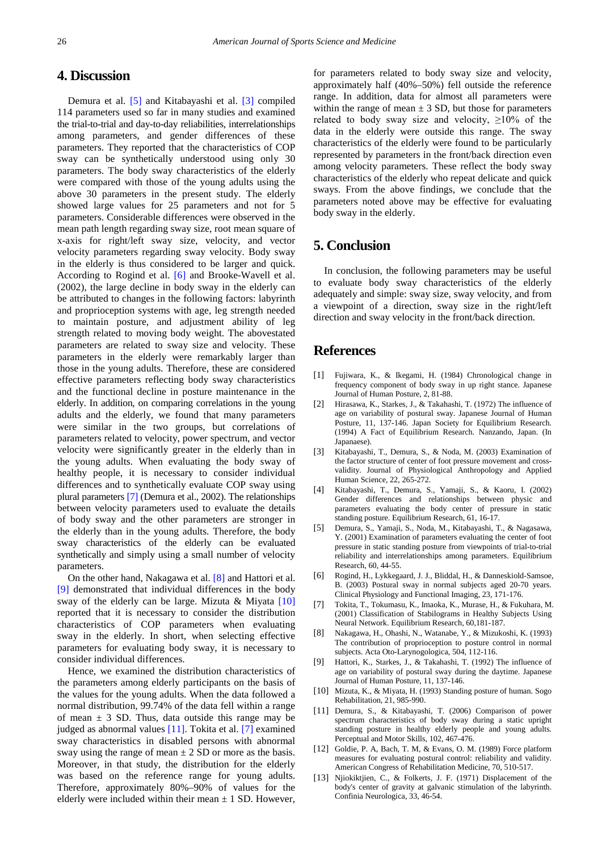## **4. Discussion**

Demura et al. [\[5\]](#page-4-4) and Kitabayashi et al. [\[3\]](#page-4-2) compiled 114 parameters used so far in many studies and examined the trial-to-trial and day-to-day reliabilities, interrelationships among parameters, and gender differences of these parameters. They reported that the characteristics of COP sway can be synthetically understood using only 30 parameters. The body sway characteristics of the elderly were compared with those of the young adults using the above 30 parameters in the present study. The elderly showed large values for 25 parameters and not for 5 parameters. Considerable differences were observed in the mean path length regarding sway size, root mean square of x-axis for right/left sway size, velocity, and vector velocity parameters regarding sway velocity. Body sway in the elderly is thus considered to be larger and quick. According to Rogind et al. [\[6\]](#page-4-5) and Brooke-Wavell et al. (2002), the large decline in body sway in the elderly can be attributed to changes in the following factors: labyrinth and proprioception systems with age, leg strength needed to maintain posture, and adjustment ability of leg strength related to moving body weight. The abovestated parameters are related to sway size and velocity. These parameters in the elderly were remarkably larger than those in the young adults. Therefore, these are considered effective parameters reflecting body sway characteristics and the functional decline in posture maintenance in the elderly. In addition, on comparing correlations in the young adults and the elderly, we found that many parameters were similar in the two groups, but correlations of parameters related to velocity, power spectrum, and vector velocity were significantly greater in the elderly than in the young adults. When evaluating the body sway of healthy people, it is necessary to consider individual differences and to synthetically evaluate COP sway using plural parameter[s \[7\]](#page-4-6) (Demura et al., 2002). The relationships between velocity parameters used to evaluate the details of body sway and the other parameters are stronger in the elderly than in the young adults. Therefore, the body sway characteristics of the elderly can be evaluated synthetically and simply using a small number of velocity parameters.

On the other hand, Nakagawa et al. [\[8\]](#page-4-7) and Hattori et al. [\[9\]](#page-4-8) demonstrated that individual differences in the body sway of the elderly can be large. Mizuta & Miyata [\[10\]](#page-4-9) reported that it is necessary to consider the distribution characteristics of COP parameters when evaluating sway in the elderly. In short, when selecting effective parameters for evaluating body sway, it is necessary to consider individual differences.

Hence, we examined the distribution characteristics of the parameters among elderly participants on the basis of the values for the young adults. When the data followed a normal distribution, 99.74% of the data fell within a range of mean  $\pm$  3 SD. Thus, data outside this range may be judged as abnormal values [\[11\].](#page-4-10) Tokita et al. [\[7\]](#page-4-6) examined sway characteristics in disabled persons with abnormal sway using the range of mean  $\pm 2$  SD or more as the basis. Moreover, in that study, the distribution for the elderly was based on the reference range for young adults. Therefore, approximately 80%–90% of values for the elderly were included within their mean  $\pm$  1 SD. However,

for parameters related to body sway size and velocity, approximately half (40%–50%) fell outside the reference range. In addition, data for almost all parameters were within the range of mean  $\pm 3$  SD, but those for parameters related to body sway size and velocity,  $\geq 10\%$  of the data in the elderly were outside this range. The sway characteristics of the elderly were found to be particularly represented by parameters in the front/back direction even among velocity parameters. These reflect the body sway characteristics of the elderly who repeat delicate and quick sways. From the above findings, we conclude that the parameters noted above may be effective for evaluating body sway in the elderly.

## **5. Conclusion**

In conclusion, the following parameters may be useful to evaluate body sway characteristics of the elderly adequately and simple: sway size, sway velocity, and from a viewpoint of a direction, sway size in the right/left direction and sway velocity in the front/back direction.

## **References**

- <span id="page-4-0"></span>[1] Fujiwara, K., & Ikegami, H. (1984) Chronological change in frequency component of body sway in up right stance. Japanese Journal of Human Posture, 2, 81-88.
- <span id="page-4-1"></span>[2] Hirasawa, K., Starkes, J., & Takahashi, T. (1972) The influence of age on variability of postural sway. Japanese Journal of Human Posture, 11, 137-146. Japan Society for Equilibrium Research. (1994) A Fact of Equilibrium Research. Nanzando, Japan. (In Japanaese).
- <span id="page-4-2"></span>[3] Kitabayashi, T., Demura, S., & Noda, M. (2003) Examination of the factor structure of center of foot pressure movement and crossvalidity. Journal of Physiological Anthropology and Applied Human Science, 22, 265-272.
- <span id="page-4-3"></span>[4] Kitabayashi, T., Demura, S., Yamaji, S., & Kaoru, I. (2002) Gender differences and relationships between physic and parameters evaluating the body center of pressure in static standing posture. Equilibrium Research, 61, 16-17.
- <span id="page-4-4"></span>[5] Demura, S., Yamaji, S., Noda, M., Kitabayashi, T., & Nagasawa, Y. (2001) Examination of parameters evaluating the center of foot pressure in static standing posture from viewpoints of trial-to-trial reliability and interrelationships among parameters. Equilibrium Research, 60, 44-55.
- <span id="page-4-5"></span>[6] Rogind, H., Lykkegaard, J. J., Bliddal, H., & Danneskiold-Samsoe, B. (2003) Postural sway in normal subjects aged 20-70 years. Clinical Physiology and Functional Imaging, 23, 171-176.
- <span id="page-4-6"></span>[7] Tokita, T., Tokumasu, K., Imaoka, K., Murase, H., & Fukuhara, M. (2001) Classification of Stabilograms in Healthy Subjects Using Neural Network. Equilibrium Research, 60,181-187.
- <span id="page-4-7"></span>[8] Nakagawa, H., Ohashi, N., Watanabe, Y., & Mizukoshi, K. (1993) The contribution of proprioception to posture control in normal subjects. Acta Oto-Larynogologica, 504, 112-116.
- <span id="page-4-8"></span>[9] Hattori, K., Starkes, J., & Takahashi, T. (1992) The influence of age on variability of postural sway during the daytime. Japanese Journal of Human Posture, 11, 137-146.
- <span id="page-4-9"></span>[10] Mizuta, K., & Miyata, H. (1993) Standing posture of human. Sogo Rehabilitation, 21, 985-990.
- <span id="page-4-10"></span>[11] Demura, S., & Kitabayashi, T. (2006) Comparison of power spectrum characteristics of body sway during a static upright standing posture in healthy elderly people and young adults. Perceptual and Motor Skills, 102, 467-476.
- [12] Goldie, P. A, Bach, T. M, & Evans, O. M. (1989) Force platform measures for evaluating postural control: reliability and validity. American Congress of Rehabilitation Medicine, 70, 510-517.
- [13] Njiokiktjien, C., & Folkerts, J. F. (1971) Displacement of the body's center of gravity at galvanic stimulation of the labyrinth. Confinia Neurologica, 33, 46-54.